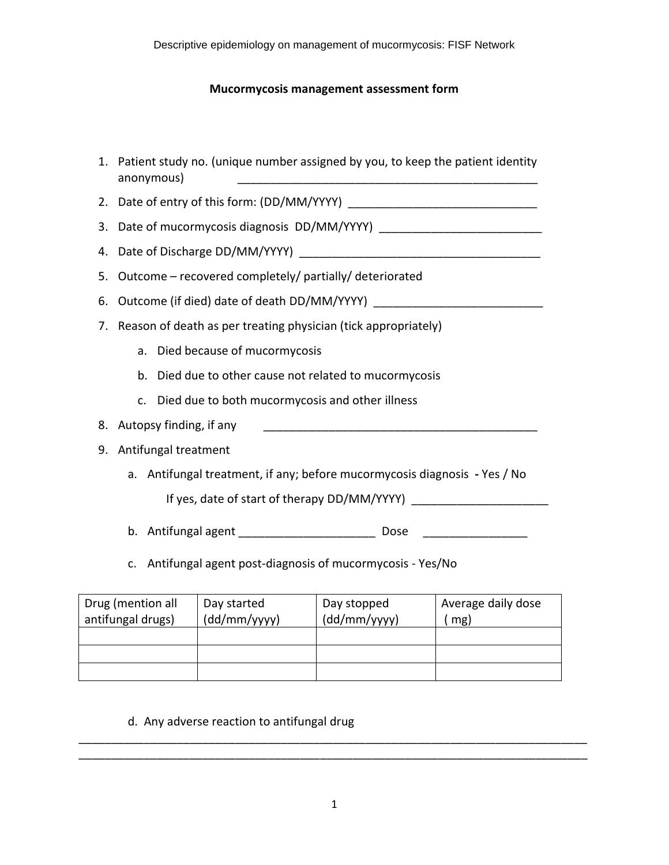## **Mucormycosis management assessment form**

|    | 1. Patient study no. (unique number assigned by you, to keep the patient identity<br>anonymous)<br><u> 1980 - Johann Barn, mars an t-Amerikaansk politiker (* 1908)</u> |  |  |  |
|----|-------------------------------------------------------------------------------------------------------------------------------------------------------------------------|--|--|--|
|    |                                                                                                                                                                         |  |  |  |
|    |                                                                                                                                                                         |  |  |  |
|    |                                                                                                                                                                         |  |  |  |
| 5. | Outcome - recovered completely/ partially/ deteriorated                                                                                                                 |  |  |  |
| 6. |                                                                                                                                                                         |  |  |  |
|    | 7. Reason of death as per treating physician (tick appropriately)                                                                                                       |  |  |  |
|    | a. Died because of mucormycosis                                                                                                                                         |  |  |  |
|    | b. Died due to other cause not related to mucormycosis                                                                                                                  |  |  |  |
|    | Died due to both mucormycosis and other illness<br>C <sub>1</sub>                                                                                                       |  |  |  |
|    | 8. Autopsy finding, if any                                                                                                                                              |  |  |  |
| 9. | Antifungal treatment                                                                                                                                                    |  |  |  |
|    | a. Antifungal treatment, if any; before mucormycosis diagnosis - Yes / No                                                                                               |  |  |  |
|    |                                                                                                                                                                         |  |  |  |
|    | b. Antifungal agent ___________________________ Dose ___________________________                                                                                        |  |  |  |
|    | c. Antifungal agent post-diagnosis of mucormycosis - Yes/No                                                                                                             |  |  |  |
|    |                                                                                                                                                                         |  |  |  |

| Drug (mention all | Day started  | Day stopped  | Average daily dose |
|-------------------|--------------|--------------|--------------------|
| antifungal drugs) | (dd/mm/yyyy) | (dd/mm/yyyy) | mg)                |
|                   |              |              |                    |
|                   |              |              |                    |
|                   |              |              |                    |

# d. Any adverse reaction to antifungal drug

 $\overline{\phantom{a}}$  , and the contribution of the contribution of the contribution of the contribution of the contribution of the contribution of the contribution of the contribution of the contribution of the contribution of the  $\overline{\phantom{a}}$  , and the contribution of the contribution of the contribution of the contribution of the contribution of the contribution of the contribution of the contribution of the contribution of the contribution of the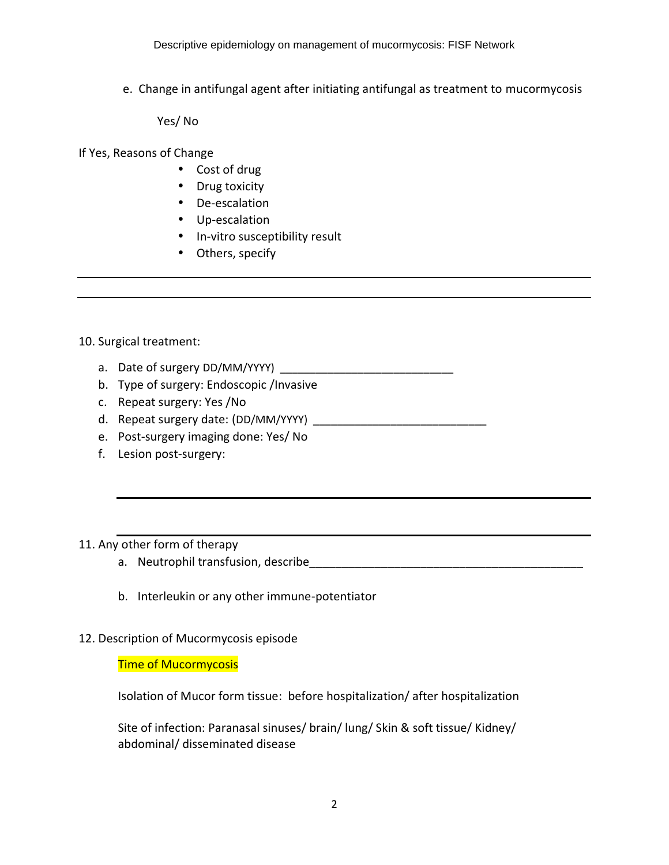e. Change in antifungal agent after initiating antifungal as treatment to mucormycosis

Yes/ No

If Yes, Reasons of Change

- Cost of drug
- Drug toxicity
- De-escalation
- Up-escalation
- In-vitro susceptibility result
- Others, specify

#### 10. Surgical treatment:

- a. Date of surgery DD/MM/YYYY) \_\_\_\_\_\_\_\_\_\_\_\_\_\_\_\_\_\_\_\_\_\_\_\_\_\_\_\_\_
- b. Type of surgery: Endoscopic /Invasive
- c. Repeat surgery: Yes /No
- d. Repeat surgery date: (DD/MM/YYYY) \_\_\_\_\_\_\_\_\_\_\_\_\_\_\_\_\_\_\_\_\_\_\_\_\_\_\_\_\_
- e. Post-surgery imaging done: Yes/ No
- f. Lesion post-surgery:

### 11. Any other form of therapy

- a. Neutrophil transfusion, describe example and the state of the state of the state of the state of the state o
- b. Interleukin or any other immune-potentiator

#### 12. Description of Mucormycosis episode

#### Time of Mucormycosis

Isolation of Mucor form tissue: before hospitalization/ after hospitalization

Site of infection: Paranasal sinuses/ brain/ lung/ Skin & soft tissue/ Kidney/ abdominal/ disseminated disease